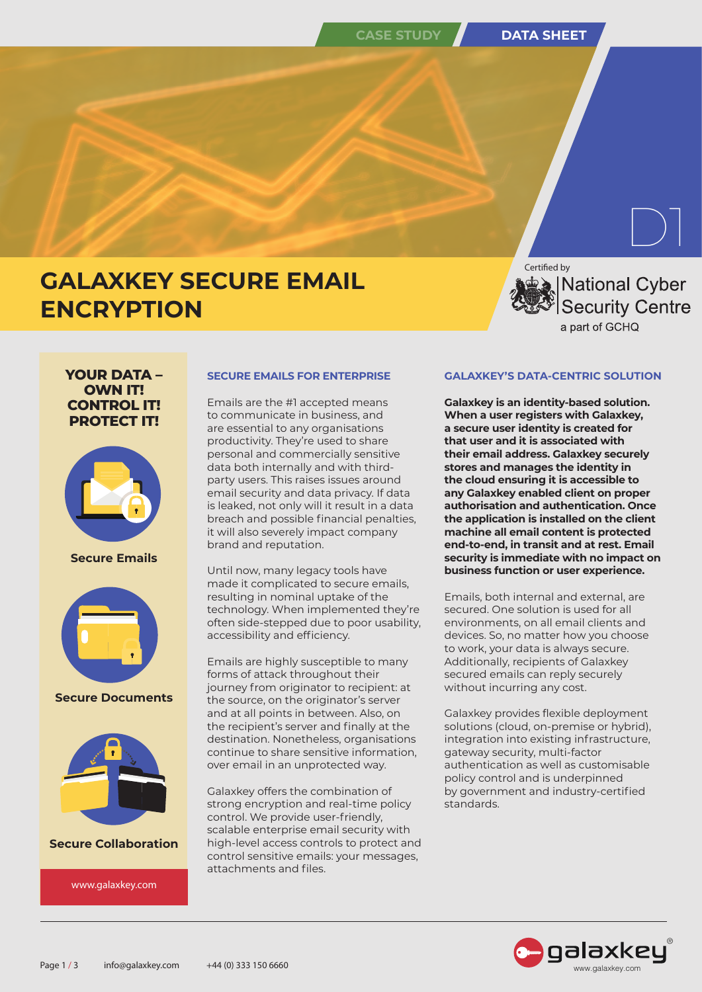# **CASE STUDY DATA SHEET**

# **GALAXKEY SECURE EMAIL ENCRYPTION**

Certified by

National Cyber **Security Centre** a part of GCHQ

 $\boxed{\phantom{1}}$ 

# **YOUR DATA – OWN IT! CONTROL IT! PROTECT IT!**



**Secure Emails**



**Secure Documents**



**Secure Collaboration**

www.galaxkey.com

# **SECURE EMAILS FOR ENTERPRISE**

Emails are the #1 accepted means to communicate in business, and are essential to any organisations productivity. They're used to share personal and commercially sensitive data both internally and with thirdparty users. This raises issues around email security and data privacy. If data is leaked, not only will it result in a data breach and possible financial penalties, it will also severely impact company brand and reputation.

Until now, many legacy tools have made it complicated to secure emails, resulting in nominal uptake of the technology. When implemented they're often side-stepped due to poor usability, accessibility and efficiency.

Emails are highly susceptible to many forms of attack throughout their journey from originator to recipient: at the source, on the originator's server and at all points in between. Also, on the recipient's server and finally at the destination. Nonetheless, organisations continue to share sensitive information, over email in an unprotected way.

Galaxkey offers the combination of strong encryption and real-time policy control. We provide user-friendly, scalable enterprise email security with high-level access controls to protect and control sensitive emails: your messages, attachments and files.

# **GALAXKEY'S DATA-CENTRIC SOLUTION**

**Galaxkey is an identity-based solution. When a user registers with Galaxkey, a secure user identity is created for that user and it is associated with their email address. Galaxkey securely stores and manages the identity in the cloud ensuring it is accessible to any Galaxkey enabled client on proper authorisation and authentication. Once the application is installed on the client machine all email content is protected end-to-end, in transit and at rest. Email security is immediate with no impact on business function or user experience.** 

Emails, both internal and external, are secured. One solution is used for all environments, on all email clients and devices. So, no matter how you choose to work, your data is always secure. Additionally, recipients of Galaxkey secured emails can reply securely without incurring any cost.

Galaxkey provides flexible deployment solutions (cloud, on-premise or hybrid), integration into existing infrastructure, gateway security, multi-factor authentication as well as customisable policy control and is underpinned by government and industry-certified standards.

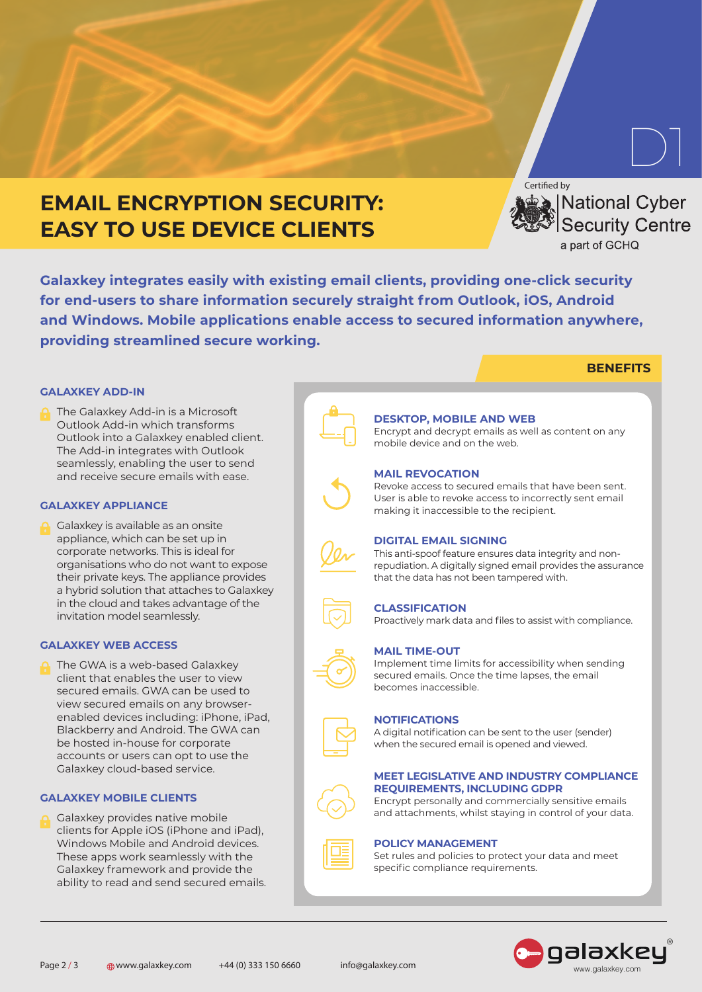# **EMAIL ENCRYPTION SECURITY: EASY TO USE DEVICE CLIENTS**

Certified by **National Cyber** Security Centre a part of GCHQ

 $\boxed{\phantom{1}}$ 

**BENEFITS**

**Galaxkey integrates easily with existing email clients, providing one-click security for end-users to share information securely straight from Outlook, iOS, Android and Windows. Mobile applications enable access to secured information anywhere, providing streamlined secure working.**

# **GALAXKEY ADD-IN**

The Galaxkey Add-in is a Microsoft Outlook Add-in which transforms Outlook into a Galaxkey enabled client. The Add-in integrates with Outlook seamlessly, enabling the user to send and receive secure emails with ease.

### **GALAXKEY APPLIANCE**

Galaxkey is available as an onsite appliance, which can be set up in corporate networks. This is ideal for organisations who do not want to expose their private keys. The appliance provides a hybrid solution that attaches to Galaxkey in the cloud and takes advantage of the invitation model seamlessly.

### **GALAXKEY WEB ACCESS**

The GWA is a web-based Galaxkey client that enables the user to view secured emails. GWA can be used to view secured emails on any browserenabled devices including: iPhone, iPad, Blackberry and Android. The GWA can be hosted in-house for corporate accounts or users can opt to use the Galaxkey cloud-based service.

### **GALAXKEY MOBILE CLIENTS**

Galaxkey provides native mobile clients for Apple iOS (iPhone and iPad), Windows Mobile and Android devices. These apps work seamlessly with the Galaxkey framework and provide the ability to read and send secured emails.



#### **DESKTOP, MOBILE AND WEB**

Encrypt and decrypt emails as well as content on any mobile device and on the web.

### **MAIL REVOCATION**

Revoke access to secured emails that have been sent. User is able to revoke access to incorrectly sent email making it inaccessible to the recipient.

### **DIGITAL EMAIL SIGNING**

This anti-spoof feature ensures data integrity and nonrepudiation. A digitally signed email provides the assurance that the data has not been tampered with.

#### **CLASSIFICATION**

Proactively mark data and files to assist with compliance.

### **MAIL TIME-OUT**

Implement time limits for accessibility when sending secured emails. Once the time lapses, the email becomes inaccessible.

#### **NOTIFICATIONS**

A digital notification can be sent to the user (sender) when the secured email is opened and viewed.

#### **MEET LEGISLATIVE AND INDUSTRY COMPLIANCE REQUIREMENTS, INCLUDING GDPR**

Encrypt personally and commercially sensitive emails and attachments, whilst staying in control of your data.



# **POLICY MANAGEMENT**

Set rules and policies to protect your data and meet specific compliance requirements.